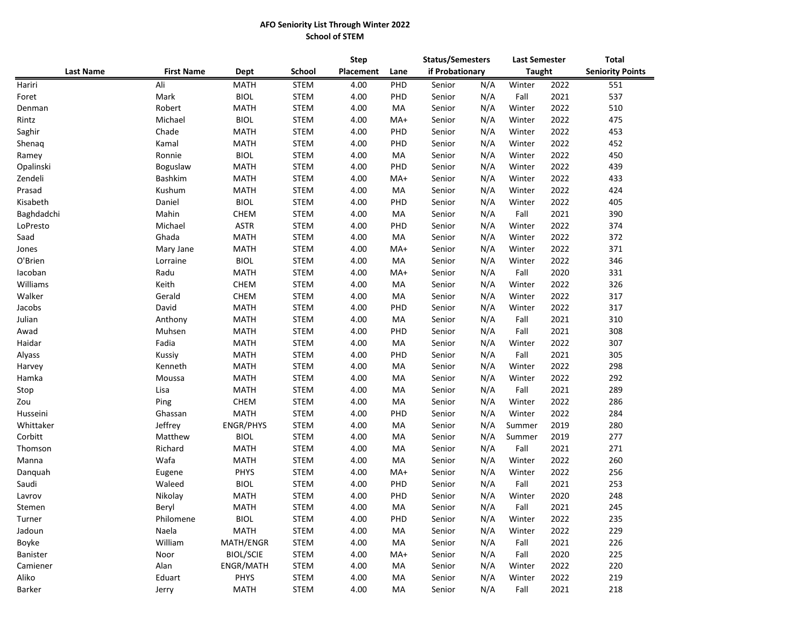## **AFO Seniority List Through Winter 2022 School of STEM**

|                  |                   | <b>Dept</b>      |               | <b>Step</b> |      | <b>Status/Semesters</b> |     | <b>Last Semester</b> |      | <b>Total</b>            |  |
|------------------|-------------------|------------------|---------------|-------------|------|-------------------------|-----|----------------------|------|-------------------------|--|
| <b>Last Name</b> | <b>First Name</b> |                  | <b>School</b> | Placement   | Lane | if Probationary         |     | <b>Taught</b>        |      | <b>Seniority Points</b> |  |
| Hariri           | Ali               | <b>MATH</b>      | <b>STEM</b>   | 4.00        | PHD  | Senior                  | N/A | Winter               | 2022 | 551                     |  |
| Foret            | Mark              | <b>BIOL</b>      | <b>STEM</b>   | 4.00        | PHD  | Senior                  | N/A | Fall                 | 2021 | 537                     |  |
| Denman           | Robert            | <b>MATH</b>      | <b>STEM</b>   | 4.00        | MA   | Senior                  | N/A | Winter               | 2022 | 510                     |  |
| Rintz            | Michael           | <b>BIOL</b>      | <b>STEM</b>   | 4.00        | MA+  | Senior                  | N/A | Winter               | 2022 | 475                     |  |
| Saghir           | Chade             | <b>MATH</b>      | <b>STEM</b>   | 4.00        | PHD  | Senior                  | N/A | Winter               | 2022 | 453                     |  |
| Shenaq           | Kamal             | <b>MATH</b>      | <b>STEM</b>   | 4.00        | PHD  | Senior                  | N/A | Winter               | 2022 | 452                     |  |
| Ramey            | Ronnie            | <b>BIOL</b>      | <b>STEM</b>   | 4.00        | MA   | Senior                  | N/A | Winter               | 2022 | 450                     |  |
| Opalinski        | Boguslaw          | <b>MATH</b>      | <b>STEM</b>   | 4.00        | PHD  | Senior                  | N/A | Winter               | 2022 | 439                     |  |
| Zendeli          | Bashkim           | <b>MATH</b>      | <b>STEM</b>   | 4.00        | MA+  | Senior                  | N/A | Winter               | 2022 | 433                     |  |
| Prasad           | Kushum            | MATH             | <b>STEM</b>   | 4.00        | MA   | Senior                  | N/A | Winter               | 2022 | 424                     |  |
| Kisabeth         | Daniel            | <b>BIOL</b>      | <b>STEM</b>   | 4.00        | PHD  | Senior                  | N/A | Winter               | 2022 | 405                     |  |
| Baghdadchi       | Mahin             | <b>CHEM</b>      | <b>STEM</b>   | 4.00        | MA   | Senior                  | N/A | Fall                 | 2021 | 390                     |  |
| LoPresto         | Michael           | <b>ASTR</b>      | <b>STEM</b>   | 4.00        | PHD  | Senior                  | N/A | Winter               | 2022 | 374                     |  |
| Saad             | Ghada             | <b>MATH</b>      | <b>STEM</b>   | 4.00        | MA   | Senior                  | N/A | Winter               | 2022 | 372                     |  |
| Jones            | Mary Jane         | <b>MATH</b>      | <b>STEM</b>   | 4.00        | MA+  | Senior                  | N/A | Winter               | 2022 | 371                     |  |
| O'Brien          | Lorraine          | <b>BIOL</b>      | <b>STEM</b>   | 4.00        | MA   | Senior                  | N/A | Winter               | 2022 | 346                     |  |
| lacoban          | Radu              | <b>MATH</b>      | <b>STEM</b>   | 4.00        | MA+  | Senior                  | N/A | Fall                 | 2020 | 331                     |  |
| Williams         | Keith             | <b>CHEM</b>      | <b>STEM</b>   | 4.00        | МA   | Senior                  | N/A | Winter               | 2022 | 326                     |  |
| Walker           | Gerald            | <b>CHEM</b>      | <b>STEM</b>   | 4.00        | MA   | Senior                  | N/A | Winter               | 2022 | 317                     |  |
| Jacobs           | David             | <b>MATH</b>      | <b>STEM</b>   | 4.00        | PHD  | Senior                  | N/A | Winter               | 2022 | 317                     |  |
| Julian           | Anthony           | MATH             | <b>STEM</b>   | 4.00        | MA   | Senior                  | N/A | Fall                 | 2021 | 310                     |  |
| Awad             | Muhsen            | <b>MATH</b>      | <b>STEM</b>   | 4.00        | PHD  | Senior                  | N/A | Fall                 | 2021 | 308                     |  |
| Haidar           | Fadia             | MATH             | <b>STEM</b>   | 4.00        | MA   | Senior                  | N/A | Winter               | 2022 | 307                     |  |
| Alyass           | Kussiy            | <b>MATH</b>      | <b>STEM</b>   | 4.00        | PHD  | Senior                  | N/A | Fall                 | 2021 | 305                     |  |
| Harvey           | Kenneth           | MATH             | <b>STEM</b>   | 4.00        | MA   | Senior                  | N/A | Winter               | 2022 | 298                     |  |
| Hamka            | Moussa            | <b>MATH</b>      | <b>STEM</b>   | 4.00        | МA   | Senior                  | N/A | Winter               | 2022 | 292                     |  |
| Stop             | Lisa              | <b>MATH</b>      | <b>STEM</b>   | 4.00        | МA   | Senior                  | N/A | Fall                 | 2021 | 289                     |  |
| Zou              | Ping              | CHEM             | <b>STEM</b>   | 4.00        | MA   | Senior                  | N/A | Winter               | 2022 | 286                     |  |
| Husseini         | Ghassan           | <b>MATH</b>      | <b>STEM</b>   | 4.00        | PHD  | Senior                  | N/A | Winter               | 2022 | 284                     |  |
| Whittaker        | Jeffrey           | <b>ENGR/PHYS</b> | <b>STEM</b>   | 4.00        | МA   | Senior                  | N/A | Summer               | 2019 | 280                     |  |
| Corbitt          | Matthew           | <b>BIOL</b>      | <b>STEM</b>   | 4.00        | МA   | Senior                  | N/A | Summer               | 2019 | 277                     |  |
| Thomson          | Richard           | <b>MATH</b>      | <b>STEM</b>   | 4.00        | МA   | Senior                  | N/A | Fall                 | 2021 | 271                     |  |
| Manna            | Wafa              | <b>MATH</b>      | <b>STEM</b>   | 4.00        | МA   | Senior                  | N/A | Winter               | 2022 | 260                     |  |
| Danquah          | Eugene            | PHYS             | <b>STEM</b>   | 4.00        | MA+  | Senior                  | N/A | Winter               | 2022 | 256                     |  |
| Saudi            | Waleed            | <b>BIOL</b>      | <b>STEM</b>   | 4.00        | PHD  | Senior                  | N/A | Fall                 | 2021 | 253                     |  |
| Lavrov           | Nikolay           | <b>MATH</b>      | <b>STEM</b>   | 4.00        | PHD  | Senior                  | N/A | Winter               | 2020 | 248                     |  |
| Stemen           | Beryl             | <b>MATH</b>      | <b>STEM</b>   | 4.00        | МA   | Senior                  | N/A | Fall                 | 2021 | 245                     |  |
| Turner           | Philomene         | <b>BIOL</b>      | <b>STEM</b>   | 4.00        | PHD  | Senior                  | N/A | Winter               | 2022 | 235                     |  |
| Jadoun           | Naela             | MATH             | <b>STEM</b>   | 4.00        | MA   | Senior                  | N/A | Winter               | 2022 | 229                     |  |
| Boyke            | William           | MATH/ENGR        | STEM          | 4.00        | MA   | Senior                  | N/A | Fall                 | 2021 | 226                     |  |
| Banister         | Noor              | <b>BIOL/SCIE</b> | <b>STEM</b>   | 4.00        | MA+  | Senior                  | N/A | Fall                 | 2020 | 225                     |  |
| Camiener         | Alan              | ENGR/MATH        | STEM          | 4.00        | MA   | Senior                  | N/A | Winter               | 2022 | 220                     |  |
| Aliko            | Eduart            | <b>PHYS</b>      | <b>STEM</b>   | 4.00        | MA   | Senior                  | N/A | Winter               | 2022 | 219                     |  |
| <b>Barker</b>    | Jerry             | MATH             | STEM          | 4.00        | MA   | Senior                  | N/A | Fall                 | 2021 | 218                     |  |
|                  |                   |                  |               |             |      |                         |     |                      |      |                         |  |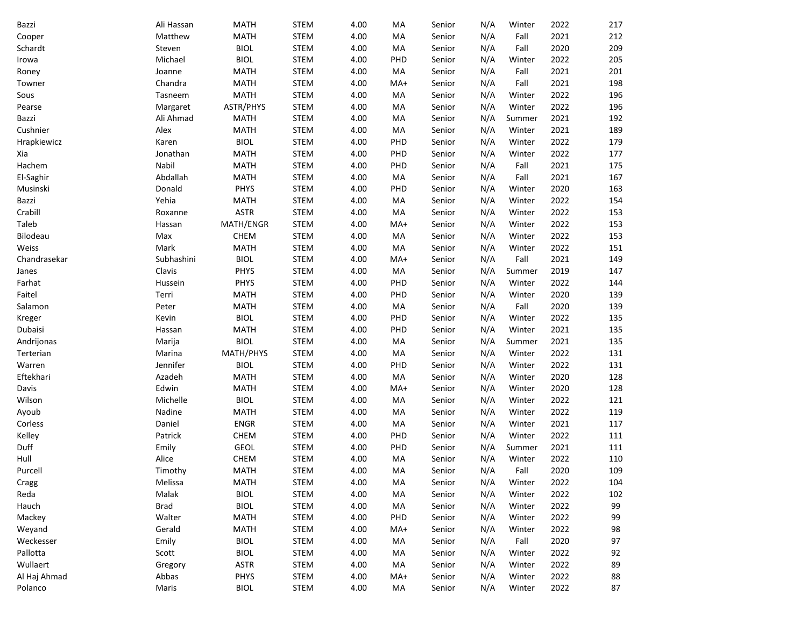| Bazzi        | Ali Hassan  | <b>MATH</b> | <b>STEM</b> | 4.00 | MA  | Senior | N/A | Winter | 2022 | 217 |
|--------------|-------------|-------------|-------------|------|-----|--------|-----|--------|------|-----|
| Cooper       | Matthew     | <b>MATH</b> | STEM        | 4.00 | MA  | Senior | N/A | Fall   | 2021 | 212 |
| Schardt      | Steven      | <b>BIOL</b> | STEM        | 4.00 | MA  | Senior | N/A | Fall   | 2020 | 209 |
| Irowa        | Michael     | <b>BIOL</b> | STEM        | 4.00 | PHD | Senior | N/A | Winter | 2022 | 205 |
| Roney        | Joanne      | <b>MATH</b> | STEM        | 4.00 | MA  | Senior | N/A | Fall   | 2021 | 201 |
| Towner       | Chandra     | <b>MATH</b> | STEM        | 4.00 | MA+ | Senior | N/A | Fall   | 2021 | 198 |
| Sous         | Tasneem     | <b>MATH</b> | <b>STEM</b> | 4.00 | MA  | Senior | N/A | Winter | 2022 | 196 |
| Pearse       | Margaret    | ASTR/PHYS   | <b>STEM</b> | 4.00 | MA  | Senior | N/A | Winter | 2022 | 196 |
| Bazzi        | Ali Ahmad   | <b>MATH</b> | <b>STEM</b> | 4.00 | MA  | Senior | N/A | Summer | 2021 | 192 |
| Cushnier     | Alex        | <b>MATH</b> | <b>STEM</b> | 4.00 | MA  | Senior | N/A | Winter | 2021 | 189 |
| Hrapkiewicz  | Karen       | <b>BIOL</b> | STEM        | 4.00 | PHD | Senior | N/A | Winter | 2022 | 179 |
| Xia          | Jonathan    | <b>MATH</b> | <b>STEM</b> | 4.00 | PHD | Senior | N/A | Winter | 2022 | 177 |
| Hachem       | Nabil       | MATH        | STEM        | 4.00 | PHD | Senior | N/A | Fall   | 2021 | 175 |
| El-Saghir    | Abdallah    | <b>MATH</b> | STEM        | 4.00 | MA  | Senior | N/A | Fall   | 2021 | 167 |
| Musinski     | Donald      | PHYS        | STEM        | 4.00 | PHD | Senior | N/A | Winter | 2020 | 163 |
| Bazzi        | Yehia       | <b>MATH</b> | <b>STEM</b> | 4.00 | MA  | Senior | N/A | Winter | 2022 | 154 |
| Crabill      | Roxanne     | <b>ASTR</b> | <b>STEM</b> | 4.00 | MA  | Senior | N/A | Winter | 2022 | 153 |
| Taleb        | Hassan      | MATH/ENGR   | <b>STEM</b> | 4.00 | MA+ | Senior | N/A | Winter | 2022 | 153 |
| Bilodeau     | Max         | <b>CHEM</b> | <b>STEM</b> | 4.00 | MA  | Senior | N/A | Winter | 2022 | 153 |
| Weiss        | Mark        | <b>MATH</b> | <b>STEM</b> | 4.00 | MA  | Senior | N/A | Winter | 2022 | 151 |
| Chandrasekar | Subhashini  | <b>BIOL</b> | <b>STEM</b> | 4.00 | MA+ | Senior | N/A | Fall   | 2021 | 149 |
| Janes        | Clavis      | PHYS        | <b>STEM</b> | 4.00 | MA  | Senior | N/A | Summer | 2019 | 147 |
| Farhat       | Hussein     | PHYS        | <b>STEM</b> | 4.00 | PHD | Senior | N/A | Winter | 2022 | 144 |
| Faitel       | Terri       | <b>MATH</b> | <b>STEM</b> | 4.00 | PHD | Senior | N/A | Winter | 2020 | 139 |
| Salamon      | Peter       | <b>MATH</b> | <b>STEM</b> | 4.00 | MA  | Senior | N/A | Fall   | 2020 | 139 |
| Kreger       | Kevin       | <b>BIOL</b> | STEM        | 4.00 | PHD | Senior | N/A | Winter | 2022 | 135 |
| Dubaisi      | Hassan      | <b>MATH</b> | STEM        | 4.00 | PHD | Senior | N/A | Winter | 2021 | 135 |
| Andrijonas   | Marija      | <b>BIOL</b> | STEM        | 4.00 | MA  | Senior | N/A | Summer | 2021 | 135 |
| Terterian    | Marina      | MATH/PHYS   | <b>STEM</b> | 4.00 | MA  | Senior | N/A | Winter | 2022 | 131 |
| Warren       | Jennifer    | <b>BIOL</b> | <b>STEM</b> | 4.00 | PHD | Senior | N/A | Winter | 2022 | 131 |
| Eftekhari    | Azadeh      | <b>MATH</b> | <b>STEM</b> | 4.00 | MA  | Senior | N/A | Winter | 2020 | 128 |
| Davis        | Edwin       | <b>MATH</b> | <b>STEM</b> | 4.00 | MA+ | Senior | N/A | Winter | 2020 | 128 |
| Wilson       | Michelle    | <b>BIOL</b> | <b>STEM</b> | 4.00 | MA  | Senior | N/A | Winter | 2022 | 121 |
| Ayoub        | Nadine      | <b>MATH</b> | <b>STEM</b> | 4.00 | MA  | Senior | N/A | Winter | 2022 | 119 |
| Corless      | Daniel      | <b>ENGR</b> | <b>STEM</b> | 4.00 | MA  | Senior | N/A | Winter | 2021 | 117 |
| Kelley       | Patrick     | CHEM        | STEM        | 4.00 | PHD | Senior | N/A | Winter | 2022 | 111 |
| Duff         | Emily       | GEOL        | STEM        | 4.00 | PHD | Senior | N/A | Summer | 2021 | 111 |
| Hull         | Alice       | <b>CHEM</b> | <b>STEM</b> | 4.00 | MA  | Senior | N/A | Winter | 2022 | 110 |
| Purcell      | Timothy     | <b>MATH</b> | <b>STEM</b> | 4.00 | МA  | Senior | N/A | Fall   | 2020 | 109 |
| Cragg        | Melissa     | <b>MATH</b> | STEM        | 4.00 | MA  | Senior | N/A | Winter | 2022 | 104 |
| Reda         | Malak       | <b>BIOL</b> | STEM        | 4.00 | MA  | Senior | N/A | Winter | 2022 | 102 |
| Hauch        | <b>Brad</b> | <b>BIOL</b> | STEM        | 4.00 | МA  | Senior | N/A | Winter | 2022 | 99  |
| Mackey       | Walter      | <b>MATH</b> | STEM        | 4.00 | PHD | Senior | N/A | Winter | 2022 | 99  |
| Weyand       | Gerald      | <b>MATH</b> | STEM        | 4.00 | MA+ | Senior | N/A | Winter | 2022 | 98  |
| Weckesser    | Emily       | <b>BIOL</b> | STEM        | 4.00 | MA  | Senior | N/A | Fall   | 2020 | 97  |
| Pallotta     | Scott       | <b>BIOL</b> | STEM        | 4.00 | MA  | Senior | N/A | Winter | 2022 | 92  |
| Wullaert     | Gregory     | <b>ASTR</b> | STEM        | 4.00 | MA  | Senior | N/A | Winter | 2022 | 89  |
| Al Haj Ahmad | Abbas       | PHYS        | STEM        | 4.00 | MA+ | Senior | N/A | Winter | 2022 | 88  |
| Polanco      | Maris       | <b>BIOL</b> | STEM        | 4.00 | MA  | Senior | N/A | Winter | 2022 | 87  |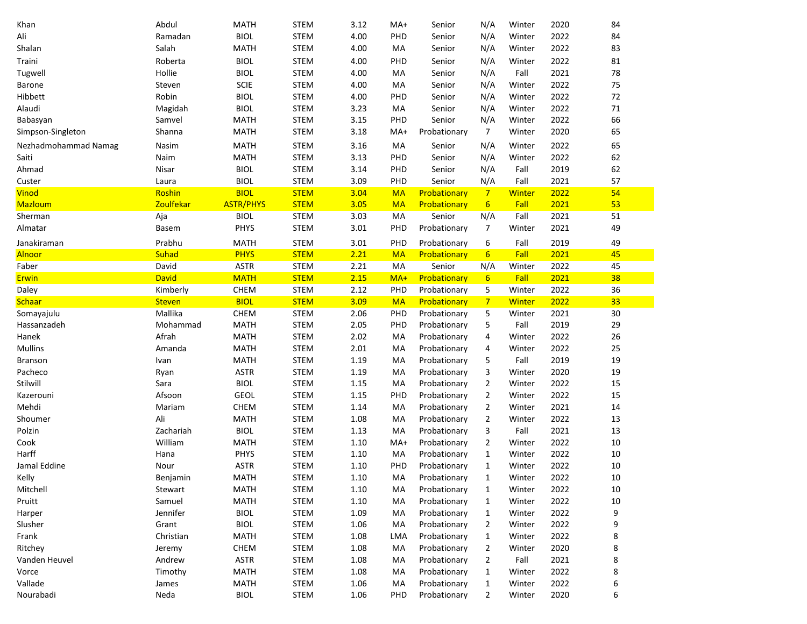| Khan                 | Abdul         | <b>MATH</b>      | <b>STEM</b> | 3.12 | MA+        | Senior       | N/A              | Winter        | 2020 | 84     |
|----------------------|---------------|------------------|-------------|------|------------|--------------|------------------|---------------|------|--------|
| Ali                  | Ramadan       | <b>BIOL</b>      | <b>STEM</b> | 4.00 | PHD        | Senior       | N/A              | Winter        | 2022 | 84     |
| Shalan               | Salah         | <b>MATH</b>      | <b>STEM</b> | 4.00 | MA         | Senior       | N/A              | Winter        | 2022 | 83     |
| Traini               | Roberta       | <b>BIOL</b>      | <b>STEM</b> | 4.00 | PHD        | Senior       | N/A              | Winter        | 2022 | 81     |
| Tugwell              | Hollie        | <b>BIOL</b>      | <b>STEM</b> | 4.00 | MA         | Senior       | N/A              | Fall          | 2021 | 78     |
| <b>Barone</b>        | Steven        | <b>SCIE</b>      | <b>STEM</b> | 4.00 | MA         | Senior       | N/A              | Winter        | 2022 | 75     |
| Hibbett              | Robin         | <b>BIOL</b>      | <b>STEM</b> | 4.00 | PHD        | Senior       | N/A              | Winter        | 2022 | $72\,$ |
| Alaudi               | Magidah       | <b>BIOL</b>      | <b>STEM</b> | 3.23 | MA         | Senior       | N/A              | Winter        | 2022 | $71\,$ |
| Babasyan             | Samvel        | <b>MATH</b>      | <b>STEM</b> | 3.15 | PHD        | Senior       | N/A              | Winter        | 2022 | 66     |
| Simpson-Singleton    | Shanna        | <b>MATH</b>      | <b>STEM</b> | 3.18 | MA+        | Probationary | $\overline{7}$   | Winter        | 2020 | 65     |
| Nezhadmohammad Namag | Nasim         | <b>MATH</b>      | <b>STEM</b> | 3.16 | MA         | Senior       | N/A              | Winter        | 2022 | 65     |
| Saiti                | Naim          | <b>MATH</b>      | <b>STEM</b> | 3.13 | PHD        | Senior       | N/A              | Winter        | 2022 | 62     |
| Ahmad                | Nisar         | <b>BIOL</b>      | <b>STEM</b> | 3.14 | <b>PHD</b> | Senior       | N/A              | Fall          | 2019 | 62     |
| Custer               | Laura         | <b>BIOL</b>      | <b>STEM</b> | 3.09 | PHD        | Senior       | N/A              | Fall          | 2021 | 57     |
| Vinod                | Roshin        | <b>BIOL</b>      | <b>STEM</b> | 3.04 | <b>MA</b>  | Probationary | $7\overline{}$   | Winter        | 2022 | 54     |
| Mazloum              | Zoulfekar     | <b>ASTR/PHYS</b> | <b>STEM</b> | 3.05 | <b>MA</b>  | Probationary | $6\overline{6}$  | Fall          | 2021 | 53     |
| Sherman              | Aja           | <b>BIOL</b>      | <b>STEM</b> | 3.03 | MA         | Senior       | N/A              | Fall          | 2021 | 51     |
| Almatar              | Basem         | PHYS             | <b>STEM</b> | 3.01 | PHD        | Probationary | 7                | Winter        | 2021 | 49     |
| Janakiraman          | Prabhu        | <b>MATH</b>      | <b>STEM</b> | 3.01 | PHD        | Probationary | 6                | Fall          | 2019 | 49     |
| Alnoor               | Suhad         | <b>PHYS</b>      | <b>STEM</b> | 2.21 | <b>MA</b>  | Probationary | $6 \overline{6}$ | Fall          | 2021 | 45     |
| Faber                | David         | <b>ASTR</b>      | <b>STEM</b> | 2.21 | MA         | Senior       | N/A              | Winter        | 2022 | 45     |
| Erwin                | <b>David</b>  | <b>MATH</b>      | <b>STEM</b> | 2.15 | MA+        | Probationary | $6 \overline{6}$ | Fall          | 2021 | 38     |
| Daley                | Kimberly      | CHEM             | <b>STEM</b> | 2.12 | PHD        | Probationary | 5                | Winter        | 2022 | 36     |
| <b>Schaar</b>        | <b>Steven</b> | <b>BIOL</b>      | <b>STEM</b> | 3.09 | <b>MA</b>  | Probationary | $7\phantom{.0}$  | <b>Winter</b> | 2022 | 33     |
| Somayajulu           | Mallika       | CHEM             | <b>STEM</b> | 2.06 | PHD        | Probationary | 5                | Winter        | 2021 | $30\,$ |
| Hassanzadeh          | Mohammad      | <b>MATH</b>      | <b>STEM</b> | 2.05 | PHD        | Probationary | 5                | Fall          | 2019 | 29     |
| Hanek                | Afrah         | <b>MATH</b>      | <b>STEM</b> | 2.02 | MA         | Probationary | 4                | Winter        | 2022 | 26     |
| Mullins              | Amanda        | <b>MATH</b>      | <b>STEM</b> | 2.01 | MA         | Probationary | 4                | Winter        | 2022 | 25     |
| Branson              | Ivan          | <b>MATH</b>      | <b>STEM</b> | 1.19 | MA         | Probationary | 5                | Fall          | 2019 | 19     |
| Pacheco              | Ryan          | <b>ASTR</b>      | <b>STEM</b> | 1.19 | MA         | Probationary | 3                | Winter        | 2020 | 19     |
| Stilwill             | Sara          | <b>BIOL</b>      | <b>STEM</b> | 1.15 | MA         | Probationary | $\overline{2}$   | Winter        | 2022 | 15     |
| Kazerouni            | Afsoon        | <b>GEOL</b>      | <b>STEM</b> | 1.15 | PHD        | Probationary | $\overline{2}$   | Winter        | 2022 | 15     |
| Mehdi                | Mariam        | CHEM             | <b>STEM</b> | 1.14 | MA         | Probationary | $\overline{2}$   | Winter        | 2021 | 14     |
| Shoumer              | Ali           | <b>MATH</b>      | <b>STEM</b> | 1.08 | MA         | Probationary | 2                | Winter        | 2022 | 13     |
| Polzin               | Zachariah     | <b>BIOL</b>      | <b>STEM</b> | 1.13 | MA         | Probationary | 3                | Fall          | 2021 | 13     |
| Cook                 | William       | <b>MATH</b>      | <b>STEM</b> | 1.10 | MA+        | Probationary | 2                | Winter        | 2022 | $10\,$ |
| Harff                | Hana          | PHYS             | <b>STEM</b> | 1.10 | MA         | Probationary | 1                | Winter        | 2022 | $10\,$ |
| Jamal Eddine         | Nour          | <b>ASTR</b>      | <b>STEM</b> | 1.10 | PHD        | Probationary | 1                | Winter        | 2022 | 10     |
| Kelly                | Benjamin      | MATH             | STEM        | 1.10 | MA         | Probationary | 1                | Winter        | 2022 | 10     |
| Mitchell             | Stewart       | <b>MATH</b>      | <b>STEM</b> | 1.10 | МA         | Probationary | 1                | Winter        | 2022 | 10     |
| Pruitt               | Samuel        | MATH             | STEM        | 1.10 | MA         | Probationary | 1                | Winter        | 2022 | 10     |
| Harper               | Jennifer      | <b>BIOL</b>      | STEM        | 1.09 | MA         | Probationary | 1                | Winter        | 2022 | 9      |
| Slusher              | Grant         | <b>BIOL</b>      | STEM        | 1.06 | MA         | Probationary | 2                | Winter        | 2022 | 9      |
| Frank                | Christian     | MATH             | STEM        | 1.08 | LMA        | Probationary | 1                | Winter        | 2022 | 8      |
| Ritchey              | Jeremy        | <b>CHEM</b>      | STEM        | 1.08 | MA         | Probationary | 2                | Winter        | 2020 | 8      |
| Vanden Heuvel        | Andrew        | <b>ASTR</b>      | <b>STEM</b> | 1.08 | МA         | Probationary | 2                | Fall          | 2021 | 8      |
| Vorce                | Timothy       | <b>MATH</b>      | <b>STEM</b> | 1.08 | MA         | Probationary | 1                | Winter        | 2022 | 8      |
| Vallade              | James         | <b>MATH</b>      | <b>STEM</b> | 1.06 | MA         | Probationary | 1                | Winter        | 2022 | 6      |
| Nourabadi            | Neda          | <b>BIOL</b>      | <b>STEM</b> | 1.06 | PHD        | Probationary | $\overline{2}$   | Winter        | 2020 | 6      |